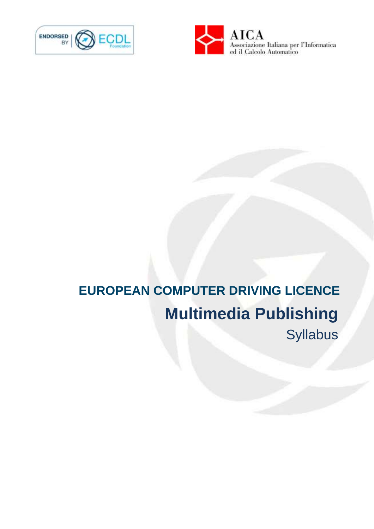



# **EUROPEAN COMPUTER DRIVING LICENCE Multimedia Publishing** Syllabus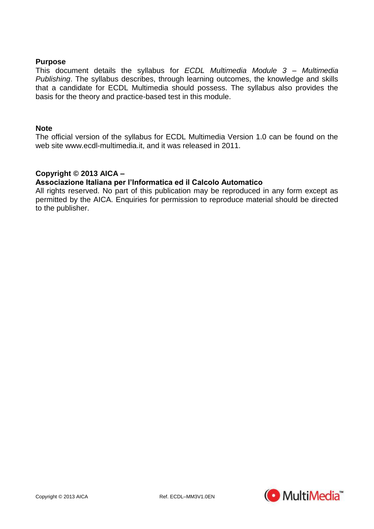## **Purpose**

This document details the syllabus for *ECDL Multimedia Module 3 – Multimedia Publishing*. The syllabus describes, through learning outcomes, the knowledge and skills that a candidate for ECDL Multimedia should possess. The syllabus also provides the basis for the theory and practice-based test in this module.

### **Note**

The official version of the syllabus for ECDL Multimedia Version 1.0 can be found on the web site www.ecdl-multimedia.it, and it was released in 2011.

# **Copyright © 2013 AICA –**

## **Associazione Italiana per l'Informatica ed il Calcolo Automatico**

All rights reserved. No part of this publication may be reproduced in any form except as permitted by the AICA. Enquiries for permission to reproduce material should be directed to the publisher.

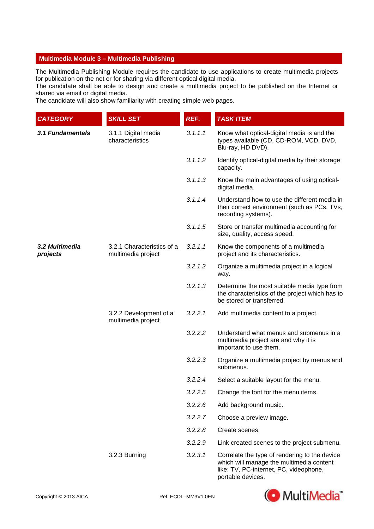#### **Multimedia Module 3 – Multimedia Publishing**

The Multimedia Publishing Module requires the candidate to use applications to create multimedia projects for publication on the net or for sharing via different optical digital media.

The candidate shall be able to design and create a multimedia project to be published on the Internet or shared via email or digital media.

The candidate will also show familiarity with creating simple web pages.

| <b>CATEGORY</b>            | <b>SKILL SET</b>                                 | REF.    | <b>TASK ITEM</b>                                                                                                                                         |
|----------------------------|--------------------------------------------------|---------|----------------------------------------------------------------------------------------------------------------------------------------------------------|
| 3.1 Fundamentals           | 3.1.1 Digital media<br>characteristics           | 3.1.1.1 | Know what optical-digital media is and the<br>types available (CD, CD-ROM, VCD, DVD,<br>Blu-ray, HD DVD).                                                |
|                            |                                                  | 3.1.1.2 | Identify optical-digital media by their storage<br>capacity.                                                                                             |
|                            |                                                  | 3.1.1.3 | Know the main advantages of using optical-<br>digital media.                                                                                             |
|                            |                                                  | 3.1.1.4 | Understand how to use the different media in<br>their correct environment (such as PCs, TVs,<br>recording systems).                                      |
|                            |                                                  | 3.1.1.5 | Store or transfer multimedia accounting for<br>size, quality, access speed.                                                                              |
| 3.2 Multimedia<br>projects | 3.2.1 Characteristics of a<br>multimedia project | 3.2.1.1 | Know the components of a multimedia<br>project and its characteristics.                                                                                  |
|                            |                                                  | 3.2.1.2 | Organize a multimedia project in a logical<br>way.                                                                                                       |
|                            |                                                  | 3.2.1.3 | Determine the most suitable media type from<br>the characteristics of the project which has to<br>be stored or transferred.                              |
|                            | 3.2.2 Development of a<br>multimedia project     | 3.2.2.1 | Add multimedia content to a project.                                                                                                                     |
|                            |                                                  | 3.2.2.2 | Understand what menus and submenus in a<br>multimedia project are and why it is<br>important to use them.                                                |
|                            |                                                  | 3.2.2.3 | Organize a multimedia project by menus and<br>submenus.                                                                                                  |
|                            |                                                  | 3.2.2.4 | Select a suitable layout for the menu.                                                                                                                   |
|                            |                                                  | 3.2.2.5 | Change the font for the menu items.                                                                                                                      |
|                            |                                                  | 3.2.2.6 | Add background music.                                                                                                                                    |
|                            |                                                  | 3.2.2.7 | Choose a preview image.                                                                                                                                  |
|                            |                                                  | 3.2.2.8 | Create scenes.                                                                                                                                           |
|                            |                                                  | 3.2.2.9 | Link created scenes to the project submenu.                                                                                                              |
|                            | 3.2.3 Burning                                    | 3.2.3.1 | Correlate the type of rendering to the device<br>which will manage the multimedia content<br>like: TV, PC-internet, PC, videophone,<br>portable devices. |

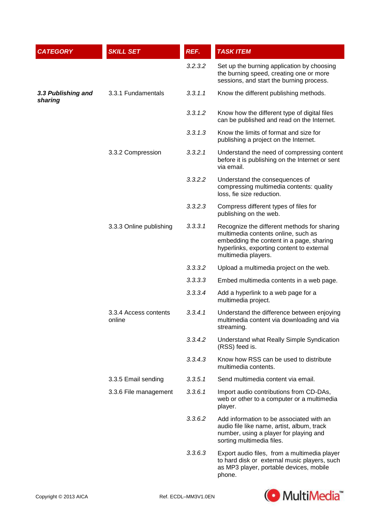| <b>CATEGORY</b>               | <b>SKILL SET</b>                | REF.    | <b>TASK ITEM</b>                                                                                                                                                                                   |
|-------------------------------|---------------------------------|---------|----------------------------------------------------------------------------------------------------------------------------------------------------------------------------------------------------|
|                               |                                 | 3.2.3.2 | Set up the burning application by choosing<br>the burning speed, creating one or more<br>sessions, and start the burning process.                                                                  |
| 3.3 Publishing and<br>sharing | 3.3.1 Fundamentals              | 3.3.1.1 | Know the different publishing methods.                                                                                                                                                             |
|                               |                                 | 3.3.1.2 | Know how the different type of digital files<br>can be published and read on the Internet.                                                                                                         |
|                               |                                 | 3.3.1.3 | Know the limits of format and size for<br>publishing a project on the Internet.                                                                                                                    |
|                               | 3.3.2 Compression               | 3.3.2.1 | Understand the need of compressing content<br>before it is publishing on the Internet or sent<br>via email.                                                                                        |
|                               |                                 | 3.3.2.2 | Understand the consequences of<br>compressing multimedia contents: quality<br>loss, fie size reduction.                                                                                            |
|                               |                                 | 3.3.2.3 | Compress different types of files for<br>publishing on the web.                                                                                                                                    |
|                               | 3.3.3 Online publishing         | 3.3.3.1 | Recognize the different methods for sharing<br>multimedia contents online, such as<br>embedding the content in a page, sharing<br>hyperlinks, exporting content to external<br>multimedia players. |
|                               |                                 | 3.3.3.2 | Upload a multimedia project on the web.                                                                                                                                                            |
|                               |                                 | 3.3.3.3 | Embed multimedia contents in a web page.                                                                                                                                                           |
|                               |                                 | 3.3.3.4 | Add a hyperlink to a web page for a<br>multimedia project.                                                                                                                                         |
|                               | 3.3.4 Access contents<br>online | 3.3.4.1 | Understand the difference between enjoying<br>multimedia content via downloading and via<br>streaming.                                                                                             |
|                               |                                 | 3.3.4.2 | Understand what Really Simple Syndication<br>(RSS) feed is.                                                                                                                                        |
|                               |                                 | 3.3.4.3 | Know how RSS can be used to distribute<br>multimedia contents.                                                                                                                                     |
|                               | 3.3.5 Email sending             | 3.3.5.1 | Send multimedia content via email.                                                                                                                                                                 |
|                               | 3.3.6 File management           | 3.3.6.1 | Import audio contributions from CD-DAs,<br>web or other to a computer or a multimedia<br>player.                                                                                                   |
|                               |                                 | 3.3.6.2 | Add information to be associated with an<br>audio file like name, artist, album, track<br>number, using a player for playing and<br>sorting multimedia files.                                      |
|                               |                                 | 3.3.6.3 | Export audio files, from a multimedia player<br>to hard disk or external music players, such<br>as MP3 player, portable devices, mobile<br>phone.                                                  |